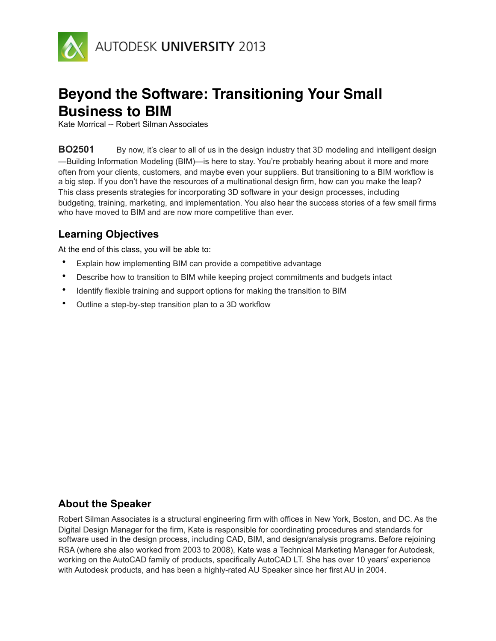

# **Beyond the Software: Transitioning Your Small Business to BIM**

Kate Morrical -- Robert Silman Associates

**BO2501** By now, it's clear to all of us in the design industry that 3D modeling and intelligent design —Building Information Modeling (BIM)—is here to stay. You're probably hearing about it more and more often from your clients, customers, and maybe even your suppliers. But transitioning to a BIM workflow is a big step. If you don't have the resources of a multinational design firm, how can you make the leap? This class presents strategies for incorporating 3D software in your design processes, including budgeting, training, marketing, and implementation. You also hear the success stories of a few small firms who have moved to BIM and are now more competitive than ever.

# **Learning Objectives**

At the end of this class, you will be able to:

- Explain how implementing BIM can provide a competitive advantage
- Describe how to transition to BIM while keeping project commitments and budgets intact
- Identify flexible training and support options for making the transition to BIM
- Outline a step-by-step transition plan to a 3D workflow

# **About the Speaker**

Robert Silman Associates is a structural engineering firm with offices in New York, Boston, and DC. As the Digital Design Manager for the firm, Kate is responsible for coordinating procedures and standards for software used in the design process, including CAD, BIM, and design/analysis programs. Before rejoining RSA (where she also worked from 2003 to 2008), Kate was a Technical Marketing Manager for Autodesk, working on the AutoCAD family of products, specifically AutoCAD LT. She has over 10 years' experience with Autodesk products, and has been a highly-rated AU Speaker since her first AU in 2004.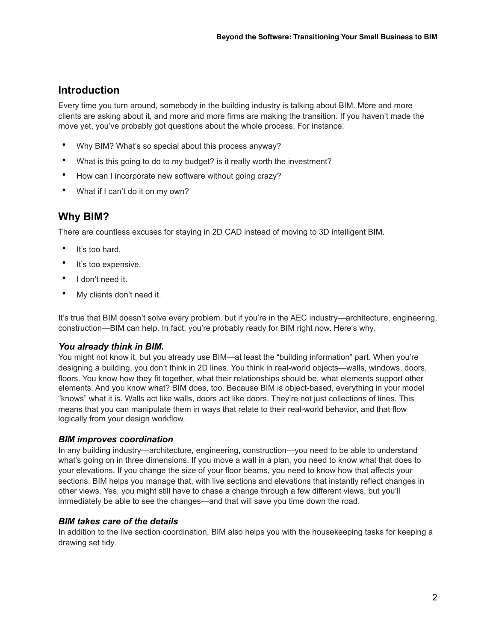# **Introduction**

Every time you turn around, somebody in the building industry is talking about BIM. More and more clients are asking about it, and more and more firms are making the transition. If you haven't made the move yet, you've probably got questions about the whole process. For instance:

- Why BIM? What's so special about this process anyway?
- What is this going to do to my budget? is it really worth the investment?
- How can I incorporate new software without going crazy?
- What if I can't do it on my own?

# **Why BIM?**

There are countless excuses for staying in 2D CAD instead of moving to 3D intelligent BIM.

- It's too hard.
- It's too expensive.
- I don't need it.
- My clients don't need it.

It's true that BIM doesn't solve every problem. but if you're in the AEC industry—architecture, engineering, construction—BIM can help. In fact, you're probably ready for BIM right now. Here's why.

## *You already think in BIM.*

You might not know it, but you already use BIM—at least the "building information" part. When you're designing a building, you don't think in 2D lines. You think in real-world objects—walls, windows, doors, floors. You know how they fit together, what their relationships should be, what elements support other elements. And you know what? BIM does, too. Because BIM is object-based, everything in your model "knows" what it is. Walls act like walls, doors act like doors. They're not just collections of lines. This means that you can manipulate them in ways that relate to their real-world behavior, and that flow logically from your design workflow.

## *BIM improves coordination*

In any building industry—architecture, engineering, construction—you need to be able to understand what's going on in three dimensions. If you move a wall in a plan, you need to know what that does to your elevations. If you change the size of your floor beams, you need to know how that affects your sections. BIM helps you manage that, with live sections and elevations that instantly reflect changes in other views. Yes, you might still have to chase a change through a few different views, but you'll immediately be able to see the changes—and that will save you time down the road.

#### *BIM takes care of the details*

In addition to the live section coordination, BIM also helps you with the housekeeping tasks for keeping a drawing set tidy.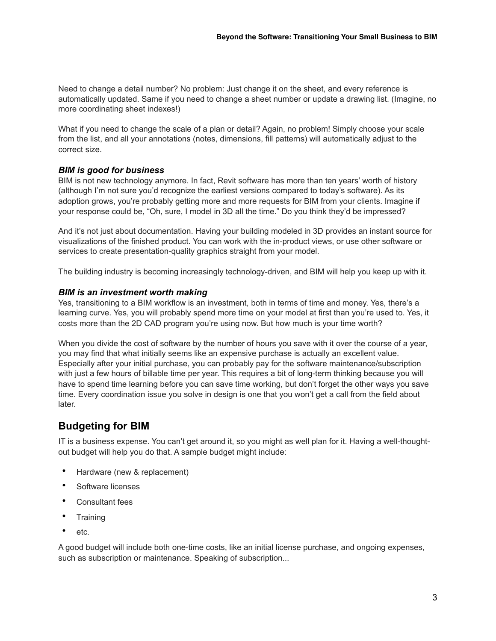Need to change a detail number? No problem: Just change it on the sheet, and every reference is automatically updated. Same if you need to change a sheet number or update a drawing list. (Imagine, no more coordinating sheet indexes!)

What if you need to change the scale of a plan or detail? Again, no problem! Simply choose your scale from the list, and all your annotations (notes, dimensions, fill patterns) will automatically adjust to the correct size.

## *BIM is good for business*

BIM is not new technology anymore. In fact, Revit software has more than ten years' worth of history (although I'm not sure you'd recognize the earliest versions compared to today's software). As its adoption grows, you're probably getting more and more requests for BIM from your clients. Imagine if your response could be, "Oh, sure, I model in 3D all the time." Do you think they'd be impressed?

And it's not just about documentation. Having your building modeled in 3D provides an instant source for visualizations of the finished product. You can work with the in-product views, or use other software or services to create presentation-quality graphics straight from your model.

The building industry is becoming increasingly technology-driven, and BIM will help you keep up with it.

## *BIM is an investment worth making*

Yes, transitioning to a BIM workflow is an investment, both in terms of time and money. Yes, there's a learning curve. Yes, you will probably spend more time on your model at first than you're used to. Yes, it costs more than the 2D CAD program you're using now. But how much is your time worth?

When you divide the cost of software by the number of hours you save with it over the course of a year, you may find that what initially seems like an expensive purchase is actually an excellent value. Especially after your initial purchase, you can probably pay for the software maintenance/subscription with just a few hours of billable time per year. This requires a bit of long-term thinking because you will have to spend time learning before you can save time working, but don't forget the other ways you save time. Every coordination issue you solve in design is one that you won't get a call from the field about later.

## **Budgeting for BIM**

IT is a business expense. You can't get around it, so you might as well plan for it. Having a well-thoughtout budget will help you do that. A sample budget might include:

- Hardware (new & replacement)
- Software licenses
- Consultant fees
- Training
- etc.

A good budget will include both one-time costs, like an initial license purchase, and ongoing expenses, such as subscription or maintenance. Speaking of subscription...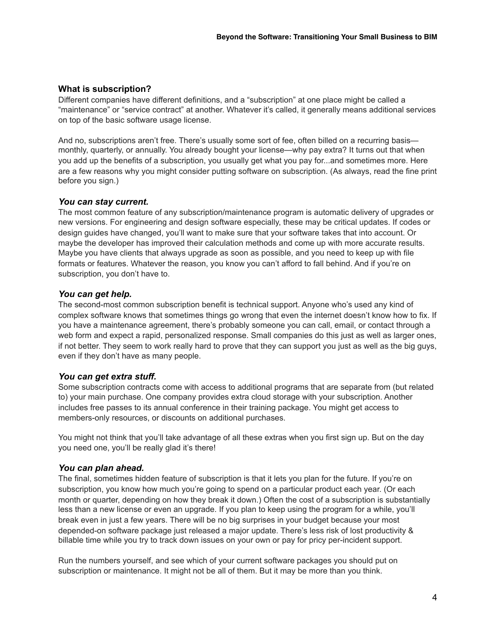## **What is subscription?**

Different companies have different definitions, and a "subscription" at one place might be called a "maintenance" or "service contract" at another. Whatever it's called, it generally means additional services on top of the basic software usage license.

And no, subscriptions aren't free. There's usually some sort of fee, often billed on a recurring basis monthly, quarterly, or annually. You already bought your license—why pay extra? It turns out that when you add up the benefits of a subscription, you usually get what you pay for...and sometimes more. Here are a few reasons why you might consider putting software on subscription. (As always, read the fine print before you sign.)

## *You can stay current.*

The most common feature of any subscription/maintenance program is automatic delivery of upgrades or new versions. For engineering and design software especially, these may be critical updates. If codes or design guides have changed, you'll want to make sure that your software takes that into account. Or maybe the developer has improved their calculation methods and come up with more accurate results. Maybe you have clients that always upgrade as soon as possible, and you need to keep up with file formats or features. Whatever the reason, you know you can't afford to fall behind. And if you're on subscription, you don't have to.

## *You can get help.*

The second-most common subscription benefit is technical support. Anyone who's used any kind of complex software knows that sometimes things go wrong that even the internet doesn't know how to fix. If you have a maintenance agreement, there's probably someone you can call, email, or contact through a web form and expect a rapid, personalized response. Small companies do this just as well as larger ones, if not better. They seem to work really hard to prove that they can support you just as well as the big guys, even if they don't have as many people.

## *You can get extra stuff.*

Some subscription contracts come with access to additional programs that are separate from (but related to) your main purchase. One company provides extra cloud storage with your subscription. Another includes free passes to its annual conference in their training package. You might get access to members-only resources, or discounts on additional purchases.

You might not think that you'll take advantage of all these extras when you first sign up. But on the day you need one, you'll be really glad it's there!

## *You can plan ahead.*

The final, sometimes hidden feature of subscription is that it lets you plan for the future. If you're on subscription, you know how much you're going to spend on a particular product each year. (Or each month or quarter, depending on how they break it down.) Often the cost of a subscription is substantially less than a new license or even an upgrade. If you plan to keep using the program for a while, you'll break even in just a few years. There will be no big surprises in your budget because your most depended-on software package just released a major update. There's less risk of lost productivity & billable time while you try to track down issues on your own or pay for pricy per-incident support.

Run the numbers yourself, and see which of your current software packages you should put on subscription or maintenance. It might not be all of them. But it may be more than you think.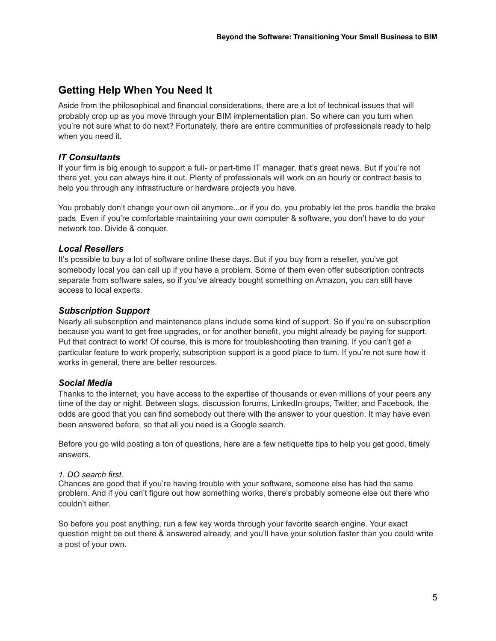# **Getting Help When You Need It**

Aside from the philosophical and financial considerations, there are a lot of technical issues that will probably crop up as you move through your BIM implementation plan. So where can you turn when you're not sure what to do next? Fortunately, there are entire communities of professionals ready to help when you need it.

## *IT Consultants*

If your firm is big enough to support a full- or part-time IT manager, that's great news. But if you're not there yet, you can always hire it out. Plenty of professionals will work on an hourly or contract basis to help you through any infrastructure or hardware projects you have.

You probably don't change your own oil anymore...or if you do, you probably let the pros handle the brake pads. Even if you're comfortable maintaining your own computer & software, you don't have to do your network too. Divide & conquer.

## *Local Resellers*

It's possible to buy a lot of software online these days. But if you buy from a reseller, you've got somebody local you can call up if you have a problem. Some of them even offer subscription contracts separate from software sales, so if you've already bought something on Amazon, you can still have access to local experts.

## *Subscription Support*

Nearly all subscription and maintenance plans include some kind of support. So if you're on subscription because you want to get free upgrades, or for another benefit, you might already be paying for support. Put that contract to work! Of course, this is more for troubleshooting than training. If you can't get a particular feature to work properly, subscription support is a good place to turn. If you're not sure how it works in general, there are better resources.

## *Social Media*

Thanks to the internet, you have access to the expertise of thousands or even millions of your peers any time of the day or night. Between slogs, discussion forums, LinkedIn groups, Twitter, and Facebook, the odds are good that you can find somebody out there with the answer to your question. It may have even been answered before, so that all you need is a Google search.

Before you go wild posting a ton of questions, here are a few netiquette tips to help you get good, timely answers.

## *1. DO search first.*

Chances are good that if you're having trouble with your software, someone else has had the same problem. And if you can't figure out how something works, there's probably someone else out there who couldn't either.

So before you post anything, run a few key words through your favorite search engine. Your exact question might be out there & answered already, and you'll have your solution faster than you could write a post of your own.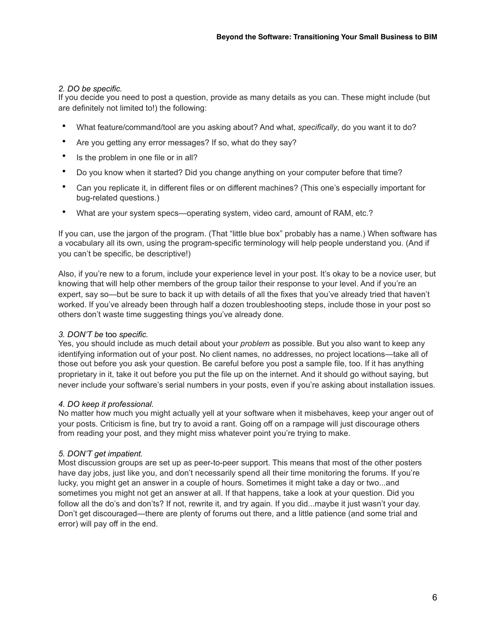## *2. DO be specific.*

If you decide you need to post a question, provide as many details as you can. These might include (but are definitely not limited to!) the following:

- What feature/command/tool are you asking about? And what, *specifically*, do you want it to do?
- Are you getting any error messages? If so, what do they say?
- Is the problem in one file or in all?
- Do you know when it started? Did you change anything on your computer before that time?
- Can you replicate it, in different files or on different machines? (This one's especially important for bug-related questions.)
- What are your system specs—operating system, video card, amount of RAM, etc.?

If you can, use the jargon of the program. (That "little blue box" probably has a name.) When software has a vocabulary all its own, using the program-specific terminology will help people understand you. (And if you can't be specific, be descriptive!)

Also, if you're new to a forum, include your experience level in your post. It's okay to be a novice user, but knowing that will help other members of the group tailor their response to your level. And if you're an expert, say so—but be sure to back it up with details of all the fixes that you've already tried that haven't worked. If you've already been through half a dozen troubleshooting steps, include those in your post so others don't waste time suggesting things you've already done.

## *3. DON'T be* too *specific.*

Yes, you should include as much detail about your *problem* as possible. But you also want to keep any identifying information out of your post. No client names, no addresses, no project locations—take all of those out before you ask your question. Be careful before you post a sample file, too. If it has anything proprietary in it, take it out before you put the file up on the internet. And it should go without saying, but never include your software's serial numbers in your posts, even if you're asking about installation issues.

#### *4. DO keep it professional.*

No matter how much you might actually yell at your software when it misbehaves, keep your anger out of your posts. Criticism is fine, but try to avoid a rant. Going off on a rampage will just discourage others from reading your post, and they might miss whatever point you're trying to make.

#### *5. DON'T get impatient.*

Most discussion groups are set up as peer-to-peer support. This means that most of the other posters have day jobs, just like you, and don't necessarily spend all their time monitoring the forums. If you're lucky, you might get an answer in a couple of hours. Sometimes it might take a day or two...and sometimes you might not get an answer at all. If that happens, take a look at your question. Did you follow all the do's and don'ts? If not, rewrite it, and try again. If you did...maybe it just wasn't your day. Don't get discouraged—there are plenty of forums out there, and a little patience (and some trial and error) will pay off in the end.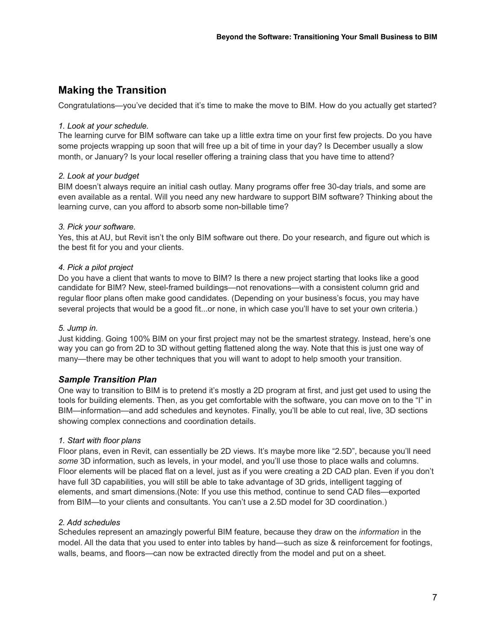# **Making the Transition**

Congratulations—you've decided that it's time to make the move to BIM. How do you actually get started?

## *1. Look at your schedule.*

The learning curve for BIM software can take up a little extra time on your first few projects. Do you have some projects wrapping up soon that will free up a bit of time in your day? Is December usually a slow month, or January? Is your local reseller offering a training class that you have time to attend?

## *2. Look at your budget*

BIM doesn't always require an initial cash outlay. Many programs offer free 30-day trials, and some are even available as a rental. Will you need any new hardware to support BIM software? Thinking about the learning curve, can you afford to absorb some non-billable time?

## *3. Pick your software.*

Yes, this at AU, but Revit isn't the only BIM software out there. Do your research, and figure out which is the best fit for you and your clients.

## *4. Pick a pilot project*

Do you have a client that wants to move to BIM? Is there a new project starting that looks like a good candidate for BIM? New, steel-framed buildings—not renovations—with a consistent column grid and regular floor plans often make good candidates. (Depending on your business's focus, you may have several projects that would be a good fit...or none, in which case you'll have to set your own criteria.)

## *5. Jump in.*

Just kidding. Going 100% BIM on your first project may not be the smartest strategy. Instead, here's one way you can go from 2D to 3D without getting flattened along the way. Note that this is just one way of many—there may be other techniques that you will want to adopt to help smooth your transition.

## *Sample Transition Plan*

One way to transition to BIM is to pretend it's mostly a 2D program at first, and just get used to using the tools for building elements. Then, as you get comfortable with the software, you can move on to the "I" in BIM—information—and add schedules and keynotes. Finally, you'll be able to cut real, live, 3D sections showing complex connections and coordination details.

## *1. Start with floor plans*

Floor plans, even in Revit, can essentially be 2D views. It's maybe more like "2.5D", because you'll need *some* 3D information, such as levels, in your model, and you'll use those to place walls and columns. Floor elements will be placed flat on a level, just as if you were creating a 2D CAD plan. Even if you don't have full 3D capabilities, you will still be able to take advantage of 3D grids, intelligent tagging of elements, and smart dimensions.(Note: If you use this method, continue to send CAD files—exported from BIM—to your clients and consultants. You can't use a 2.5D model for 3D coordination.)

## *2. Add schedules*

Schedules represent an amazingly powerful BIM feature, because they draw on the *information* in the model. All the data that you used to enter into tables by hand—such as size & reinforcement for footings, walls, beams, and floors—can now be extracted directly from the model and put on a sheet.